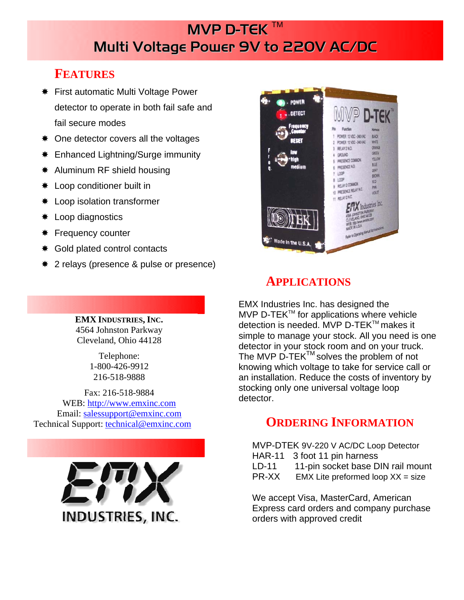# **MVP D-TEK ™** Multi Voltage Power 9V to 220V AC/DC

## **FEATURES**

- **\*** First automatic Multi Voltage Power detector to operate in both fail safe and fail secure modes
- $\ast$  One detector covers all the voltages
- $*$  Enhanced Lightning/Surge immunity
- $*$  Aluminum RF shield housing
- $*$  Loop conditioner built in
- Loop isolation transformer
- **\*** Loop diagnostics
- **\*** Frequency counter
- $★$  **Gold plated control contacts**
- 2 relays (presence & pulse or presence)

**EMX INDUSTRIES, INC.**  4564 Johnston Parkway Cleveland, Ohio 44128

> Telephone: 1-800-426-9912 216-518-9888

Fax: 216-518-9884 WEB: http://www.emxinc.com Email: salessupport@emxinc.com Technical Support: technical@emxinc.com





# **APPLICATIONS**

EMX Industries Inc. has designed the MVP D-TEK<sup>™</sup> for applications where vehicle detection is needed. MVP D-TEK™ makes it simple to manage your stock. All you need is one detector in your stock room and on your truck. The MVP D-TEK<sup>TM</sup> solves the problem of not knowing which voltage to take for service call or an installation. Reduce the costs of inventory by stocking only one universal voltage loop detector.

## **ORDERING INFORMATION**

MVP-DTEK 9V-220 V AC/DC Loop Detector HAR-11 3 foot 11 pin harness LD-11 11-pin socket base DIN rail mount

PR-XX EMX Lite preformed loop XX = size

We accept Visa, MasterCard, American Express card orders and company purchase orders with approved credit